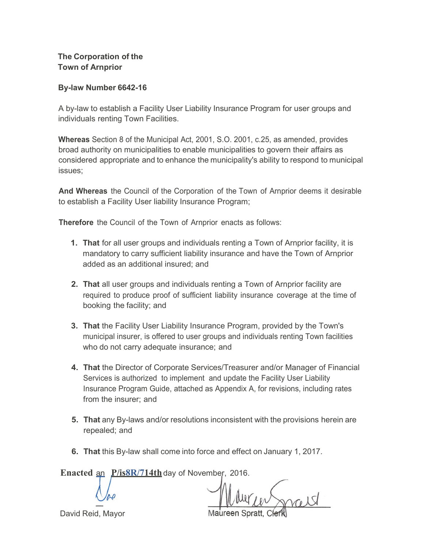**The Corporation of the Town of Arnprior**

#### **By-law Number 6642-16**

A by-law to establish a Facility User Liability Insurance Program for user groups and individuals renting Town Facilities.

**Whereas** Section 8 of the Municipal Act, 2001, S.O. 2001, c.25, as amended, provides broad authority on municipalities to enable municipalities to govern their affairs as considered appropriate and to enhance the municipality's ability to respond to municipal issues;

**And Whereas** the Council of the Corporation of the Town of Arnprior deems it desirable to establish a Facility User liability Insurance Program;

**Therefore** the Council of the Town of Arnprior enacts as follows:

- **1. That** for all user groups and individuals renting a Town of Arnprior facility, it is mandatory to carry sufficient liability insurance and have the Town of Arnprior added as an additional insured; and
- **2. That** all user groups and individuals renting a Town of Arnprior facility are required to produce proof of sufficient liability insurance coverage at the time of booking the facility; and
- **3. That** the Facility User Liability Insurance Program, provided by the Town's municipal insurer, is offered to user groups and individuals renting Town facilities who do not carry adequate insurance; and
- **4. That** the Director of Corporate Services/Treasurer and/or Manager of Financial Services is authorized to implement and update the Facility User Liability Insurance Program Guide, attached as Appendix A, for revisions, including rates from the insurer; and
- **5. That** any By-laws and/or resolutions inconsistent with the provisions herein are repealed; and
- **6. That** this By-law shall come into force and effect on January 1, 2017.

**Enacted** an **P/is8R/714th**day of November, 2016.

David Reid, Mayor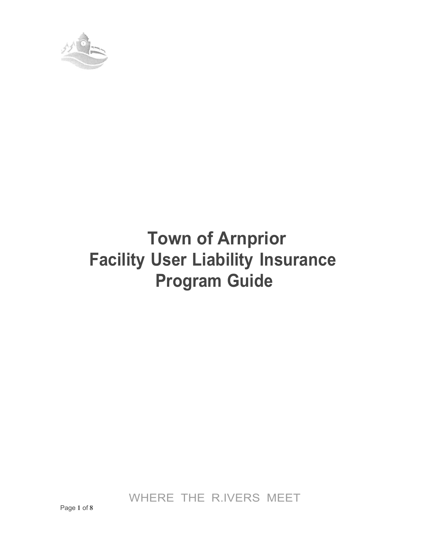

# **Town of Arnprior Facility User Liability Insurance Program Guide**

WHERE THE R.IVERS MEET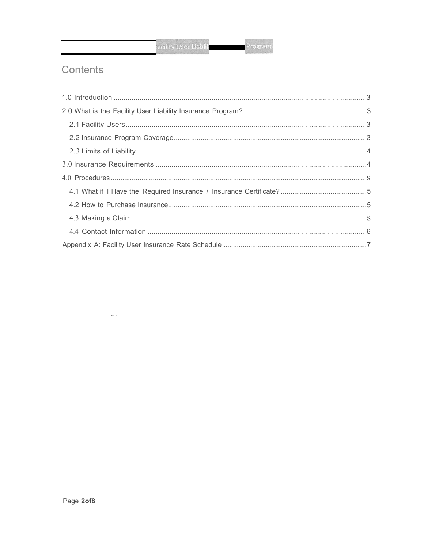# Contents

 $\ldots$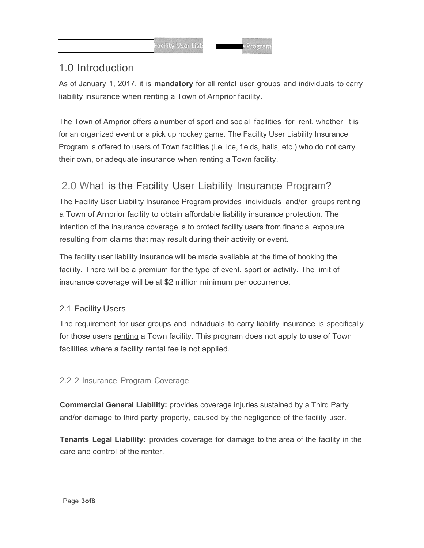# <span id="page-3-0"></span>1.0 Introduction

As of January 1, 2017, it is **mandatory** for all rental user groups and individuals to carry liability insurance when renting a Town of Arnprior facility.

The Town of Arnprior offers a number of sport and social facilities for rent, whether it is for an organized event or a pick up hockey game. The Facility User Liability Insurance Program is offered to users of Town facilities (i.e. ice, fields, halls, etc.) who do not carry their own, or adequate insurance when renting a Town facility.

# <span id="page-3-1"></span>2.0 What is the Facility User Liability Insurance Program?

The Facility User Liability Insurance Program provides individuals and/or groups renting a Town of Arnprior facility to obtain affordable liability insurance protection. The intention of the insurance coverage is to protect facility users from financial exposure resulting from claims that may result during their activity or event.

The facility user liability insurance will be made available at the time of booking the facility. There will be a premium for the type of event, sport or activity. The limit of insurance coverage will be at \$2 million minimum per occurrence.

## <span id="page-3-2"></span>2.1 Facility Users

The requirement for user groups and individuals to carry liability insurance is specifically for those users renting a Town facility. This program does not apply to use of Town facilities where a facility rental fee is not applied.

## 2.2 2 Insurance Program Coverage

**Commercial General Liability:** provides coverage injuries sustained by a Third Party and/or damage to third party property, caused by the negligence of the facility user.

**Tenants Legal Liability:** provides coverage for damage to the area of the facility in the care and control of the renter.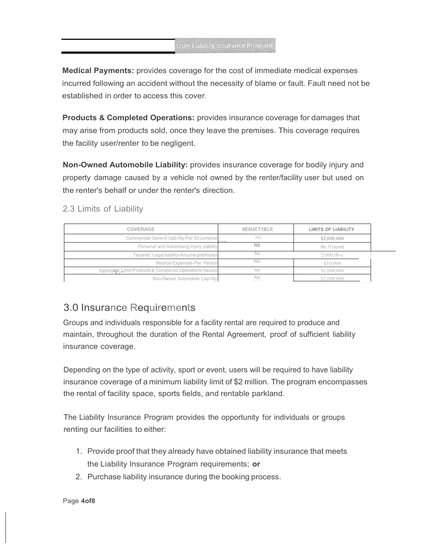Medical Payments: provides coverage for the cost of immediate medical expenses incurred following an accident without the necessity of blame or fault. Fault need not be established in order to access this cover.

Products & Completed Operations: provides insurance coverage for damages that may arise from products sold, once they leave the premises. This coverage requires the facility user/renter to be negligent.

Non-Owned Automobile Liability: provides insurance coverage for bodily injury and property damage caused by a vehicle not owned by the renter/facility user but used on the renter's behalf or under the renter's direction.

<span id="page-4-0"></span>2.3 Limits of Liability

| <b>LIMITS OF LIABILITY</b>  | 0E0UCT1BLE | $1 - 10$<br>COVERAGE                                    |  |
|-----------------------------|------------|---------------------------------------------------------|--|
| \$2,000,000                 | Nil        | Commercial Genenil Uab, hty-Per Occurrence              |  |
| No: I11 sured               | NII        | Personal and Advertising Injury Uabilily                |  |
| $!2.000,00$ -u              | NJ         | Tenants' Legal liability-Anyone premises                |  |
| \$10,000                    | <b>NII</b> | Medical Expenses-Per Person                             |  |
| \$2,000,000                 | <b>NII</b> | Aggregate Limit-Products & Complet.ed Operations Hazard |  |
| \$2,000,000<br><b>1. 1.</b> | Nil<br>    | Non-Owned Automobile Llap1lity                          |  |

## <span id="page-4-1"></span>3.0 Insurance Requirements

Groups and individuals responsible for a facility rental are required to produce and maintain, throughout the duration of the Rental Agreement, proof of sufficient liability insurance coverage.

Depending on the type of activity, sport or event, users will be required to have liability insurance coverage of a minimum liability limit of \$2 million. The program encompasses the rental of facility space, sports fields, and rentable parkland.

The Liability Insurance Program provides the opportunity for individuals or groups renting our facilities to either:

- 1. Provide proof that they already have obtained liability insurance that meets the Liability Insurance Program requirements; or
- 2. Purchase liability insurance during the booking process.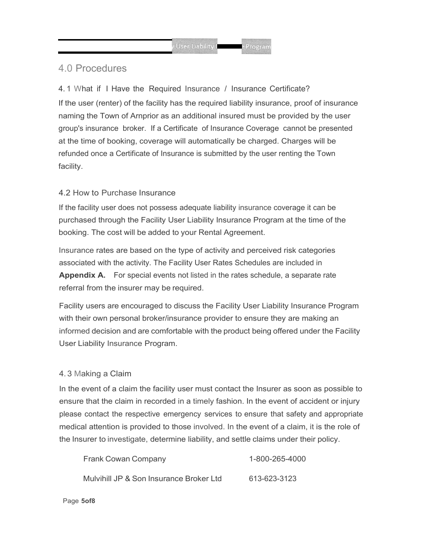### 4.0 Procedures

<span id="page-5-0"></span>4. 1 What if I Have the Required Insurance / Insurance Certificate? If the user (renter) of the facility has the required liability insurance, proof of insurance naming the Town of Arnprior as an additional insured must be provided by the user group's insurance broker. If a Certificate of Insurance Coverage cannot be presented at the time of booking, coverage will automatically be charged. Charges will be refunded once a Certificate of Insurance is submitted by the user renting the Town facility.

#### <span id="page-5-1"></span>4.2 How to Purchase Insurance

If the facility user does not possess adequate liability insurance coverage it can be purchased through the Facility User Liability Insurance Program at the time of the booking. The cost will be added to your Rental Agreement.

Insurance rates are based on the type of activity and perceived risk categories associated with the activity. The Facility User Rates Schedules are included in **Appendix A.** For special events not listed in the rates schedule, a separate rate referral from the insurer may be required.

Facility users are encouraged to discuss the Facility User Liability Insurance Program with their own personal broker/insurance provider to ensure they are making an informed decision and are comfortable with the product being offered under the Facility User Liability Insurance Program.

#### 4. 3 Making a Claim

In the event of a claim the facility user must contact the Insurer as soon as possible to ensure that the claim in recorded in a timely fashion. In the event of accident or injury please contact the respective emergency services to ensure that safety and appropriate medical attention is provided to those involved. In the event of a claim, it is the role of the Insurer to investigate, determine liability, and settle claims under their policy.

| <b>Frank Cowan Company</b>              | 1-800-265-4000 |
|-----------------------------------------|----------------|
| Mulvihill JP & Son Insurance Broker Ltd | 613-623-3123   |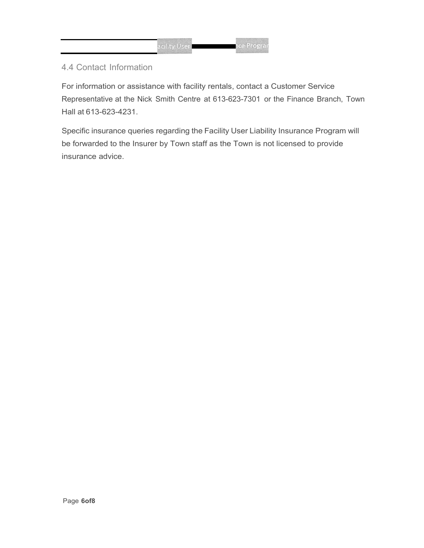#### <span id="page-6-0"></span>4.4 Contact Information

For information or assistance with facility rentals, contact a Customer Service Representative at the Nick Smith Centre at 613-623-7301 or the Finance Branch, Town Hall at 613-623-4231.

Specific insurance queries regarding the Facility User Liability Insurance Program will be forwarded to the Insurer by Town staff as the Town is not licensed to provide insurance advice.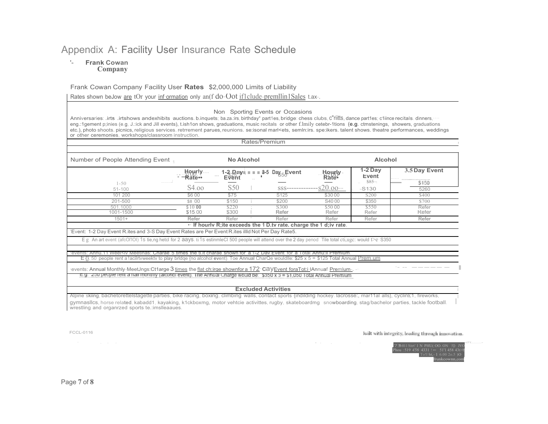## Appendix A: Facility User Insurance Rate Schedule

#### $\mathbf{r}_{\perp}$ **Frank Cowan** Company

#### Frank Cowan Company Facility User Rates \$2,000,000 Limits of Liability

Rates shown be Jow are tOr your information only an(f do-Oot if I clude-premllin 1 Sales t.ax-.

#### Non Sporting Events or Occasions

Anniversaries: .irts .irtshows andexhibits auctions. b.inquets; ba.za.:irs, birthday°.part1es, bridge: chess clubs, C"riltts, dance part1es; c1iince recitals. dinners, ... eng.:1gement p;inies (e.g, J.:ick and Jill events), t.ish1on shows, graduations, music recitals or other f.lmily cetebr-1tions (e.g. ctmstenings, showers, graduations etc.), photo shoots. picnics, religious services. retrrement parues, reunions. se:isonal mark ets, semln:irs. spe:ikers. talent shows. theatre performances, weddings or other ceremonies, workshops/classroom instruction.

<span id="page-7-0"></span>

| $1 - 50$                                                                                                                                                                                   | $\frac{L}{2}$ Howrly<br>$\cdots$ |                 |                                                                      |                                            | <b>Alcohol</b>              |                                                                  |  |
|--------------------------------------------------------------------------------------------------------------------------------------------------------------------------------------------|----------------------------------|-----------------|----------------------------------------------------------------------|--------------------------------------------|-----------------------------|------------------------------------------------------------------|--|
|                                                                                                                                                                                            |                                  |                 | 1-2 $R$ ayı $\blacksquare$ $\blacksquare$ 3-5 $Day_5$ Event          | Hourly Rate                                | 1-2 Day<br>Event<br>$$85 -$ | 3.5 Day Event<br>.<br><b>CONTRACTOR</b> IN THE AMERICAN<br>\$150 |  |
| 51-100                                                                                                                                                                                     | S <sub>4.00</sub>                | S <sub>50</sub> |                                                                      |                                            | $-S130$                     | 5260                                                             |  |
| 101 200                                                                                                                                                                                    | \$6 00                           | \$75            | S <sub>125</sub>                                                     | \$3000                                     | S <sub>200</sub>            | \$400                                                            |  |
| 201-500                                                                                                                                                                                    | \$8 00                           | \$150           | \$200                                                                | S4000                                      | \$350                       | \$700                                                            |  |
| 501.1000<br>1001-1500                                                                                                                                                                      | \$1000<br>\$15.00                | \$220<br>\$300  | S300<br>Refer                                                        | \$50 00<br>Refer                           | \$550<br>Refer              | Refer<br>Refer                                                   |  |
| $1501+$                                                                                                                                                                                    | Refer                            | Refer           | Refer                                                                | Refer                                      | Refer                       | Refer                                                            |  |
|                                                                                                                                                                                            |                                  |                 | . If hourly R; ite exceeds the 1 D tv rate, charge the 1 d; iv rate. |                                            |                             |                                                                  |  |
| Event: 1-2 Day Event R.ites and 3-S Day Event Rates are Per Event R.ites illid Not Per Day Rate5.                                                                                          |                                  |                 |                                                                      |                                            |                             |                                                                  |  |
| E g An art event (afcOl'IOI) 1s tie,ng hetcl for 2 aays, ti 1s estinmleCl 500 people will attend over the 2 day penod Tile total cti,ugc: would t>e S350                                   |                                  |                 |                                                                      |                                            |                             |                                                                  |  |
|                                                                                                                                                                                            |                                  |                 |                                                                      |                                            |                             |                                                                  |  |
| weel <ly 5="" charae="" for<="" meetinas:="" shown="" td="" the="" tilit="" times=""><td></td><td></td><td></td><td>a 1-2 Day Event for a Total Annu: Premium.</td><td></td><td></td></ly> |                                  |                 |                                                                      | a 1-2 Day Event for a Total Annu: Premium. |                             |                                                                  |  |
| E {}. 50 people rent a lacilrtvweektv to play bridge {no alcohol event). Toe Annual CharQe wouldlle: \$25 x 5 = \$125 Total Annual Prem.um                                                 |                                  |                 |                                                                      |                                            |                             |                                                                  |  |
|                                                                                                                                                                                            |                                  |                 |                                                                      |                                            |                             |                                                                  |  |

#### **Excluded Activities**

Alpine skiing, bachetorettelstagette parties, bike racing, boxing, climbing walls, contact sports {indilding hockey. lacrosse:, mar11al alls}, cyclin£1, fireworks, gymnasllcs, horse related, kabadd1, kayaking, k1ckboxmg, motor vehtcie activittes, rugby, skateboardmg snowboarding, stag/bachelor parties, tackle football. wrestling and organized sports te .: imslieaaues.

FCCL-0116

Juilt with integrity, leading through innovation.

5.5011 Strt' 1 N PHU( OO. ON \text{\math} 0 1 \text{\math} 456 4331 ! ... 51'1 458 43t<br>1 To!I ht,- 1 6.00 2o.5 )ON

Page 7 of 8